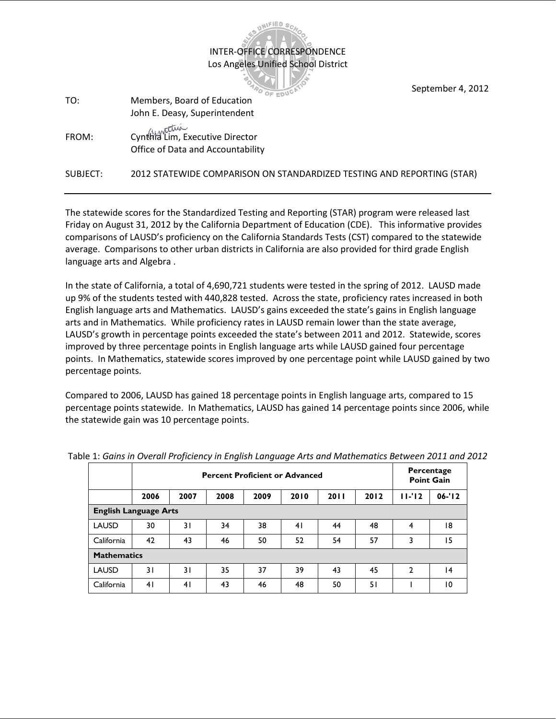|          |                                                                        | September 4, 2012 |
|----------|------------------------------------------------------------------------|-------------------|
| TO:      | Members, Board of Education                                            |                   |
|          | John E. Deasy, Superintendent                                          |                   |
| FROM:    | Cynthia Lim, Executive Director<br>Office of Data and Accountability   |                   |
| SUBJECT: | 2012 STATEWIDE COMPARISON ON STANDARDIZED TESTING AND REPORTING (STAR) |                   |

INTER-OFFICE CORRESPONDENCE Los Angeles Unified School District

UNIFIED S

The statewide scores for the Standardized Testing and Reporting (STAR) program were released last Friday on August 31, 2012 by the California Department of Education (CDE). This informative provides comparisons of LAUSD's proficiency on the California Standards Tests (CST) compared to the statewide average. Comparisons to other urban districts in California are also provided for third grade English language arts and Algebra .

In the state of California, a total of 4,690,721 students were tested in the spring of 2012. LAUSD made up 9% of the students tested with 440,828 tested. Across the state, proficiency rates increased in both English language arts and Mathematics. LAUSD's gains exceeded the state's gains in English language arts and in Mathematics. While proficiency rates in LAUSD remain lower than the state average, LAUSD's growth in percentage points exceeded the state's between 2011 and 2012. Statewide, scores improved by three percentage points in English language arts while LAUSD gained four percentage points. In Mathematics, statewide scores improved by one percentage point while LAUSD gained by two percentage points.

Compared to 2006, LAUSD has gained 18 percentage points in English language arts, compared to 15 percentage points statewide. In Mathematics, LAUSD has gained 14 percentage points since 2006, while the statewide gain was 10 percentage points.

|                              | <b>Percent Proficient or Advanced</b> |      |      |      |      |      |      |              | Percentage<br><b>Point Gain</b> |  |
|------------------------------|---------------------------------------|------|------|------|------|------|------|--------------|---------------------------------|--|
|                              | 2006                                  | 2007 | 2008 | 2009 | 2010 | 2011 | 2012 | $11 - 12$    | $06 - 12$                       |  |
| <b>English Language Arts</b> |                                       |      |      |      |      |      |      |              |                                 |  |
| <b>LAUSD</b>                 | 30                                    | 31   | 34   | 38   | 41   | 44   | 48   | 4            | 18                              |  |
| California                   | 42                                    | 43   | 46   | 50   | 52   | 54   | 57   | 3            | 15                              |  |
| <b>Mathematics</b>           |                                       |      |      |      |      |      |      |              |                                 |  |
| <b>LAUSD</b>                 | 31                                    | 3 I  | 35   | 37   | 39   | 43   | 45   | $\mathbf{2}$ | 4                               |  |
| California                   | 41                                    | 41   | 43   | 46   | 48   | 50   | 51   |              | $\overline{10}$                 |  |

Table 1: *Gains in Overall Proficiency in English Language Arts and Mathematics Between 2011 and 2012*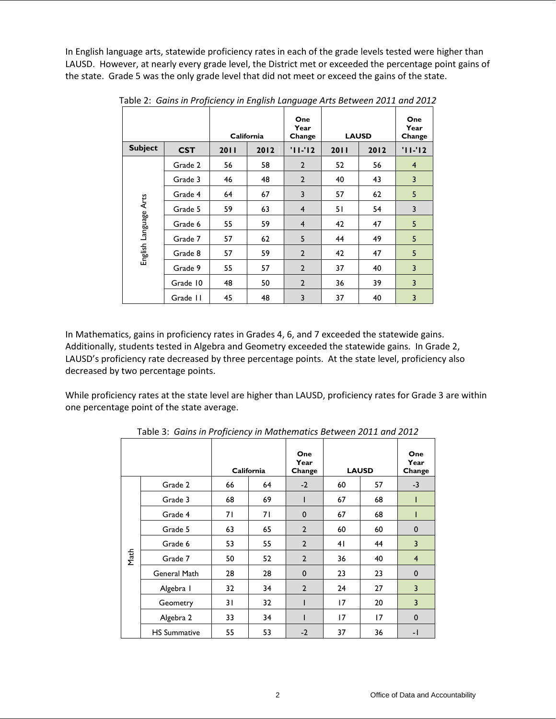In English language arts, statewide proficiency rates in each of the grade levels tested were higher than LAUSD. However, at nearly every grade level, the District met or exceeded the percentage point gains of the state. Grade 5 was the only grade level that did not meet or exceed the gains of the state.

|                       |            | California |      | One<br>Year<br>Change | <b>LAUSD</b> |      | One<br>Year<br>Change |
|-----------------------|------------|------------|------|-----------------------|--------------|------|-----------------------|
| <b>Subject</b>        | <b>CST</b> | 2011       | 2012 | $'11 - 12$            | 2011         | 2012 | $'11 - 12$            |
|                       | Grade 2    | 56         | 58   | $\overline{2}$        | 52           | 56   | $\overline{4}$        |
|                       | Grade 3    | 46         | 48   | $\overline{2}$        | 40           | 43   | 3                     |
| English Language Arts | Grade 4    | 64         | 67   | 3                     | 57           | 62   | 5                     |
|                       | Grade 5    | 59         | 63   | $\overline{4}$        | 51           | 54   | 3                     |
|                       | Grade 6    | 55         | 59   | $\overline{4}$        | 42           | 47   | 5                     |
|                       | Grade 7    | 57         | 62   | 5                     | 44           | 49   | 5                     |
|                       | Grade 8    | 57         | 59   | $\overline{2}$        | 42           | 47   | 5                     |
|                       | Grade 9    | 55         | 57   | $\overline{2}$        | 37           | 40   | 3                     |
|                       | Grade 10   | 48         | 50   | $\overline{2}$        | 36           | 39   | 3                     |
|                       | Grade II   | 45         | 48   | 3                     | 37           | 40   | 3                     |

Table 2: *Gains in Proficiency in English Language Arts Between 2011 and 2012*

In Mathematics, gains in proficiency rates in Grades 4, 6, and 7 exceeded the statewide gains. Additionally, students tested in Algebra and Geometry exceeded the statewide gains. In Grade 2, LAUSD's proficiency rate decreased by three percentage points. At the state level, proficiency also decreased by two percentage points.

While proficiency rates at the state level are higher than LAUSD, proficiency rates for Grade 3 are within one percentage point of the state average.

|      |                     | California |    | One<br>Year<br>Change | <b>LAUSD</b> |    | One<br>Year<br>Change |
|------|---------------------|------------|----|-----------------------|--------------|----|-----------------------|
|      | Grade 2             | 66         | 64 | $-2$                  | 60           | 57 | $-3$                  |
|      | Grade 3             | 68         | 69 | I                     | 67           | 68 | I                     |
|      | Grade 4             | 71         | 71 | $\mathbf{0}$          | 67           | 68 | ı                     |
|      | Grade 5             | 63         | 65 | $\overline{2}$        | 60           | 60 | $\mathbf 0$           |
|      | Grade 6             | 53         | 55 | $\overline{2}$        | 41           | 44 | $\overline{3}$        |
| Math | Grade 7             | 50         | 52 | $\overline{2}$        | 36           | 40 | $\overline{4}$        |
|      | General Math        | 28         | 28 | $\mathbf{0}$          | 23           | 23 | $\mathbf{0}$          |
|      | Algebra I           | 32         | 34 | $\overline{2}$        | 24           | 27 | $\overline{3}$        |
|      | Geometry            | 31         | 32 |                       | 17           | 20 | $\overline{3}$        |
|      | Algebra 2           | 33         | 34 |                       | 17           | 17 | $\mathbf 0$           |
|      | <b>HS Summative</b> | 55         | 53 | $-2$                  | 37           | 36 | $-1$                  |

Table 3: *Gains in Proficiency in Mathematics Between 2011 and 2012*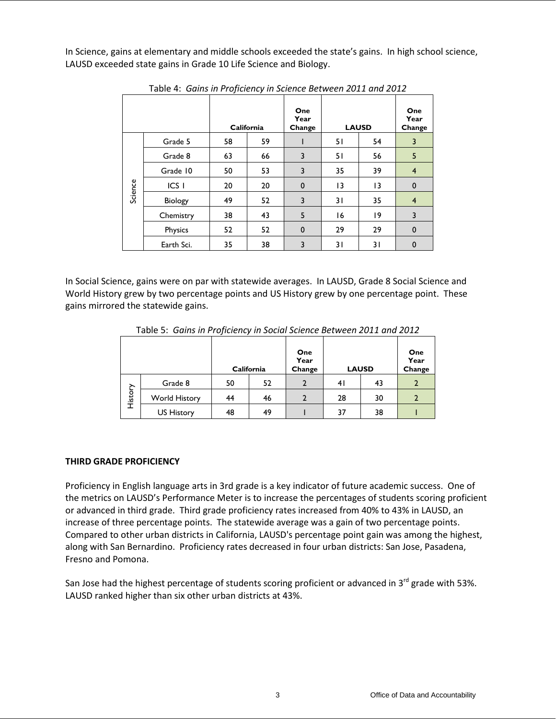In Science, gains at elementary and middle schools exceeded the state's gains. In high school science, LAUSD exceeded state gains in Grade 10 Life Science and Biology.

|         |                  |    | California | One<br>Year<br>Change | <b>LAUSD</b> |                 | One<br>Year<br>Change |
|---------|------------------|----|------------|-----------------------|--------------|-----------------|-----------------------|
|         | Grade 5          | 58 | 59         |                       | 51           | 54              | 3                     |
| Science | Grade 8          | 63 | 66         | 3                     | 51           | 56              | 5                     |
|         | Grade 10         | 50 | 53         | 3                     | 35           | 39              | $\overline{4}$        |
|         | ICS <sub>1</sub> | 20 | 20         | $\mathbf{0}$          | 13           | $\overline{13}$ | $\mathbf 0$           |
|         | Biology          | 49 | 52         | 3                     | 31           | 35              | $\overline{4}$        |
|         | Chemistry        | 38 | 43         | 5                     | 16           | 19              | 3                     |
|         | <b>Physics</b>   | 52 | 52         | $\mathbf 0$           | 29           | 29              | $\mathbf 0$           |
|         | Earth Sci.       | 35 | 38         | 3                     | 31           | 31              | $\mathbf 0$           |

Table 4: *Gains in Proficiency in Science Between 2011 and 2012*

In Social Science, gains were on par with statewide averages. In LAUSD, Grade 8 Social Science and World History grew by two percentage points and US History grew by one percentage point. These gains mirrored the statewide gains.

|         | Table 5. Guills III Froncency III Social Science Between 2011 and 2012 |    | California | One<br>Year<br>Change | <b>LAUSD</b> |    | One<br>Year<br>Change |
|---------|------------------------------------------------------------------------|----|------------|-----------------------|--------------|----|-----------------------|
|         | Grade 8                                                                | 50 | 52         |                       | 41           | 43 |                       |
| History | World History                                                          | 44 | 46         |                       | 28           | 30 |                       |
|         | <b>US History</b>                                                      | 48 | 49         |                       | 37           | 38 |                       |

Table 5: *Gains in Proficiency in Social Science Between 2011 and 2012*

## **THIRD GRADE PROFICIENCY**

Proficiency in English language arts in 3rd grade is a key indicator of future academic success. One of the metrics on LAUSD's Performance Meter is to increase the percentages of students scoring proficient or advanced in third grade. Third grade proficiency rates increased from 40% to 43% in LAUSD, an increase of three percentage points. The statewide average was a gain of two percentage points. Compared to other urban districts in California, LAUSD's percentage point gain was among the highest, along with San Bernardino. Proficiency rates decreased in four urban districts: San Jose, Pasadena, Fresno and Pomona.

San Jose had the highest percentage of students scoring proficient or advanced in 3<sup>rd</sup> grade with 53%. LAUSD ranked higher than six other urban districts at 43%.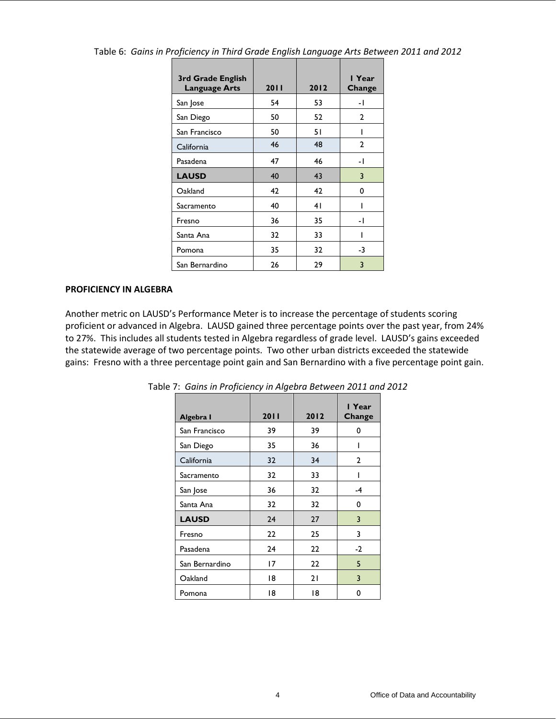| 3rd Grade English<br><b>Language Arts</b> | 2011 | 2012 | I Year<br>Change |
|-------------------------------------------|------|------|------------------|
| San Jose                                  | 54   | 53   | - 1              |
| San Diego                                 | 50   | 52   | 2                |
| San Francisco                             | 50   | 51   |                  |
| California                                | 46   | 48   | 2                |
| Pasadena                                  | 47   | 46   | - 1              |
| <b>LAUSD</b>                              | 40   | 43   | 3                |
| Oakland                                   | 42   | 42   | 0                |
| Sacramento                                | 40   | 41   |                  |
| Fresno                                    | 36   | 35   | - 1              |
| Santa Ana                                 | 32   | 33   | ı                |
| Pomona                                    | 35   | 32   | -3               |
| San Bernardino                            | 26   | 29   | 3                |

Table 6: *Gains in Proficiency in Third Grade English Language Arts Between 2011 and 2012*

## **PROFICIENCY IN ALGEBRA**

Another metric on LAUSD's Performance Meter is to increase the percentage of students scoring proficient or advanced in Algebra. LAUSD gained three percentage points over the past year, from 24% to 27%. This includes all students tested in Algebra regardless of grade level. LAUSD's gains exceeded the statewide average of two percentage points. Two other urban districts exceeded the statewide gains: Fresno with a three percentage point gain and San Bernardino with a five percentage point gain.

| Algebra I      | 2011 | 2012 | I Year<br>Change |
|----------------|------|------|------------------|
| San Francisco  | 39   | 39   | 0                |
| San Diego      | 35   | 36   |                  |
| California     | 32   | 34   | 2                |
| Sacramento     | 32   | 33   |                  |
| San Jose       | 36   | 32   | -4               |
| Santa Ana      | 32   | 32   | 0                |
| <b>LAUSD</b>   | 24   | 27   | 3                |
| Fresno         | 22   | 25   | 3                |
| Pasadena       | 24   | 22   | $-2$             |
| San Bernardino | 17   | 22   | 5                |
| Oakland        | 18   | 21   | 3                |
| Pomona         | 18   | 18   | 0                |

Table 7: *Gains in Proficiency in Algebra Between 2011 and 2012*